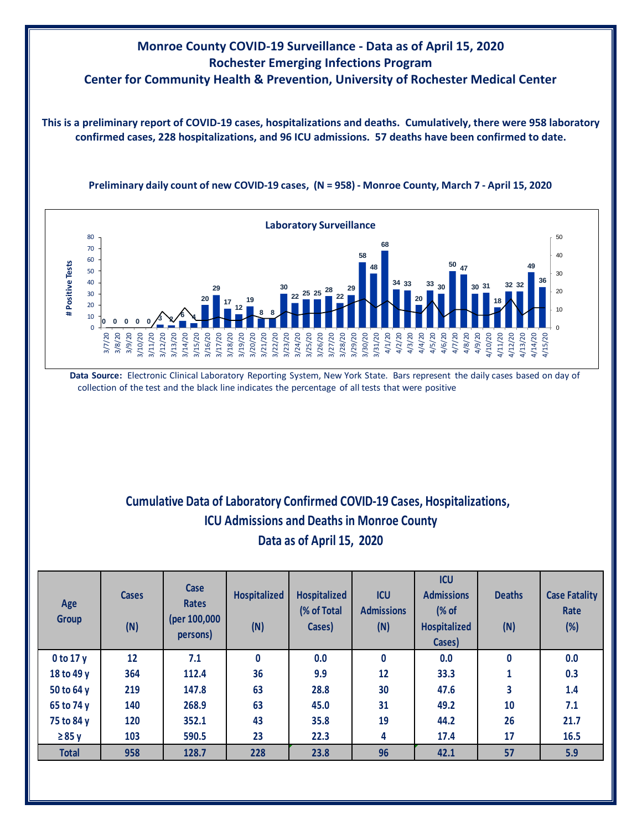## **Monroe County COVID-19 Surveillance - Data as of April 15, 2020 Rochester Emerging Infections Program Center for Community Health & Prevention, University of Rochester Medical Center**

**This is a preliminary report of COVID-19 cases, hospitalizations and deaths. Cumulatively, there were 958 laboratory confirmed cases, 228 hospitalizations, and 96 ICU admissions. 57 deaths have been confirmed to date.**





**Data Source:** Electronic Clinical Laboratory Reporting System, New York State. Bars represent the daily cases based on day of collection of the test and the black line indicates the percentage of all tests that were positive

## **Cumulative Data of Laboratory Confirmed COVID-19 Cases, Hospitalizations, Data as of April 15, 2020 ICU Admissions and Deaths in Monroe County**

| Age<br><b>Group</b> | <b>Cases</b><br>(N) | Case<br><b>Rates</b><br>(per 100,000<br>persons) | <b>Hospitalized</b><br>(N) | <b>Hospitalized</b><br>(% of Total<br>Cases) | <b>ICU</b><br><b>Admissions</b><br>(N) | <b>ICU</b><br><b>Admissions</b><br>(% of<br><b>Hospitalized</b><br>Cases) | <b>Deaths</b><br>(N) | <b>Case Fatality</b><br>Rate<br>(%) |
|---------------------|---------------------|--------------------------------------------------|----------------------------|----------------------------------------------|----------------------------------------|---------------------------------------------------------------------------|----------------------|-------------------------------------|
| $0$ to 17 y         | 12                  | 7.1                                              | $\bf{0}$                   | 0.0                                          | 0                                      | 0.0                                                                       | 0                    | 0.0                                 |
| 18 to 49 y          | 364                 | 112.4                                            | 36                         | 9.9                                          | 12                                     | 33.3                                                                      | $\mathbf{1}$         | 0.3                                 |
| 50 to 64 y          | 219                 | 147.8                                            | 63                         | 28.8                                         | 30                                     | 47.6                                                                      | 3                    | 1.4                                 |
| 65 to 74 y          | 140                 | 268.9                                            | 63                         | 45.0                                         | 31                                     | 49.2                                                                      | 10                   | 7.1                                 |
| 75 to 84 y          | 120                 | 352.1                                            | 43                         | 35.8                                         | 19                                     | 44.2                                                                      | 26                   | 21.7                                |
| $\geq 85$ y         | 103                 | 590.5                                            | 23                         | 22.3                                         | 4                                      | 17.4                                                                      | 17                   | 16.5                                |
| <b>Total</b>        | 958                 | 128.7                                            | 228                        | 23.8                                         | 96                                     | 42.1                                                                      | 57                   | 5.9                                 |
|                     |                     |                                                  |                            |                                              |                                        |                                                                           |                      |                                     |